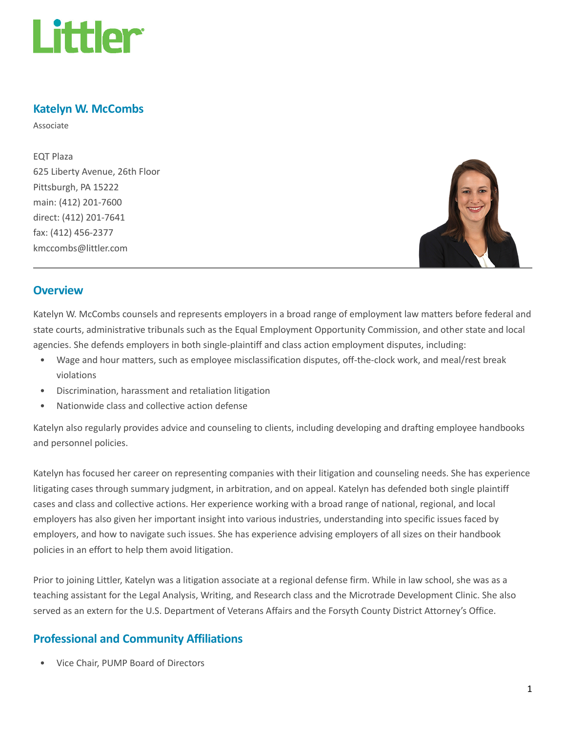

## Katelyn W. McCombs

Associate

EQT Plaza 625 Liberty Avenue, 26th Floor Pittsburgh, PA 15222 main: (412) 201-7600 direct: (412) 201-7641 fax: (412) 456-2377 kmccombs@littler.com



### **Overview**

Katelyn W. McCombs counsels and represents employers in a broad range of employment law matters before federal and state courts, administrative tribunals such as the Equal Employment Opportunity Commission, and other state and local agencies. She defends employers in both single-plaintiff and class action employment disputes, including:

- Wage and hour matters, such as employee misclassification disputes, off-the-clock work, and meal/rest break violations
- Discrimination, harassment and retaliation litigation
- Nationwide class and collective action defense

Katelyn also regularly provides advice and counseling to clients, including developing and drafting employee handbooks and personnel policies.

Katelyn has focused her career on representing companies with their litigation and counseling needs. She has experience litigating cases through summary judgment, in arbitration, and on appeal. Katelyn has defended both single plaintiff cases and class and collective actions. Her experience working with a broad range of national, regional, and local employers has also given her important insight into various industries, understanding into specific issues faced by employers, and how to navigate such issues. She has experience advising employers of all sizes on their handbook policies in an effort to help them avoid litigation.

Prior to joining Littler, Katelyn was a litigation associate at a regional defense firm. While in law school, she was as a teaching assistant for the Legal Analysis, Writing, and Research class and the Microtrade Development Clinic. She also served as an extern for the U.S. Department of Veterans Affairs and the Forsyth County District Attorney's Office.

### Professional and Community Affiliations

• Vice Chair, PUMP Board of Directors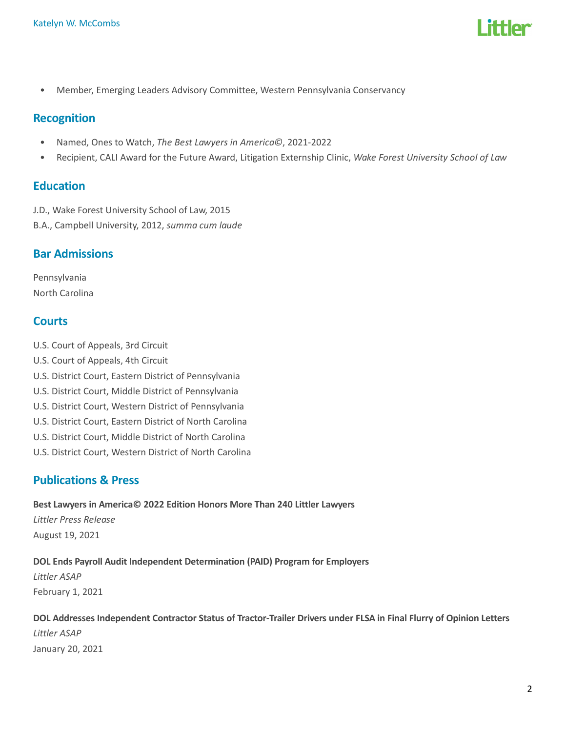

• Member, Emerging Leaders Advisory Committee, Western Pennsylvania Conservancy

### Recognition

- Named, Ones to Watch, The Best Lawyers in America©, 2021-2022
- Recipient, CALI Award for the Future Award, Litigation Externship Clinic, Wake Forest University School of Law

### Education

J.D., Wake Forest University School of Law, 2015

B.A., Campbell University, 2012, summa cum laude

### Bar Admissions

Pennsylvania North Carolina

### **Courts**

- U.S. Court of Appeals, 3rd Circuit
- U.S. Court of Appeals, 4th Circuit
- U.S. District Court, Eastern District of Pennsylvania
- U.S. District Court, Middle District of Pennsylvania
- U.S. District Court, Western District of Pennsylvania
- U.S. District Court, Eastern District of North Carolina
- U.S. District Court, Middle District of North Carolina
- U.S. District Court, Western District of North Carolina

### Publications & Press

#### Best Lawyers in America© 2022 Edition Honors More Than 240 Littler Lawyers

Littler Press Release August 19, 2021

### DOL Ends Payroll Audit Independent Determination (PAID) Program for Employers

Littler ASAP February 1, 2021

## DOL Addresses Independent Contractor Status of Tractor-Trailer Drivers under FLSA in Final Flurry of Opinion Letters Littler ASAP January 20, 2021